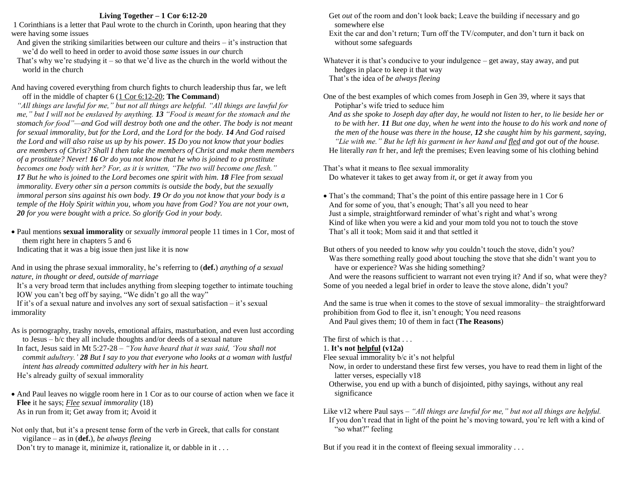#### **Living Together – 1 Cor 6:12-20**

1 Corinthians is a letter that Paul wrote to the church in Corinth, upon hearing that they were having some issues

- And given the striking similarities between our culture and theirs it's instruction that we'd do well to heed in order to avoid those *same* issues in *our* church
- That's why we're studying it so that we'd live as the church in the world without the world in the church
- And having covered everything from church fights to church leadership thus far, we left off in the middle of chapter 6 (1 Cor 6:12-20; **The Command**)

*"All things are lawful for me," but not all things are helpful. "All things are lawful for me," but I will not be enslaved by anything. 13 "Food is meant for the stomach and the stomach for food"—and God will destroy both one and the other. The body is not meant for sexual immorality, but for the Lord, and the Lord for the body. 14 And God raised the Lord and will also raise us up by his power. 15 Do you not know that your bodies are members of Christ? Shall I then take the members of Christ and make them members of a prostitute? Never! 16 Or do you not know that he who is joined to a prostitute becomes one body with her? For, as it is written, "The two will become one flesh." 17 But he who is joined to the Lord becomes one spirit with him. 18 Flee from sexual immorality. Every other sin a person commits is outside the body, but the sexually immoral person sins against his own body. 19 Or do you not know that your body is a temple of the Holy Spirit within you, whom you have from God? You are not your own, 20 for you were bought with a price. So glorify God in your body.*

 Paul mentions **sexual immorality** or *sexually immoral* people 11 times in 1 Cor, most of them right here in chapters 5 and 6

Indicating that it was a big issue then just like it is now

And in using the phrase sexual immorality, he's referring to (**def.**) *anything of a sexual nature, in thought or deed, outside of marriage*

It's a very broad term that includes anything from sleeping together to intimate touching IOW you can't beg off by saying, "We didn't go all the way"

If it's of a sexual nature and involves any sort of sexual satisfaction – it's sexual immorality

- As is pornography, trashy novels, emotional affairs, masturbation, and even lust according to Jesus – b/c they all include thoughts and/or deeds of a sexual nature
- In fact, Jesus said in Mt 5:27-28 *"You have heard that it was said, 'You shall not commit adultery.' 28 But I say to you that everyone who looks at a woman with lustful intent has already committed adultery with her in his heart.* He's already guilty of sexual immorality

 And Paul leaves no wiggle room here in 1 Cor as to our course of action when we face it **Flee** it he says; *Flee sexual immorality* (18) As in run from it; Get away from it; Avoid it

Not only that, but it's a present tense form of the verb in Greek, that calls for constant vigilance – as in (**def.**), *be always fleeing*

Don't try to manage it, minimize it, rationalize it, or dabble in it . . .

- Get *out* of the room and don't look back; Leave the building if necessary and go somewhere else
- Exit the car and don't return; Turn off the TV/computer, and don't turn it back on without some safeguards

Whatever it is that's conducive to your indulgence – get away, stay away, and put hedges in place to keep it that way That's the idea of *be always fleeing*

One of the best examples of which comes from Joseph in Gen 39, where it says that Potiphar's wife tried to seduce him

*And as she spoke to Joseph day after day, he would not listen to her, to lie beside her or to be with her. 11 But one day, when he went into the house to do his work and none of the men of the house was there in the house, 12 she caught him by his garment, saying, "Lie with me." But he left his garment in her hand and fled and got out of the house.* He literally *ran* fr her, and *left* the premises; Even leaving some of his clothing behind

That's what it means to flee sexual immorality

Do whatever it takes to get away from *it*, or get *it* away from you

• That's the command; That's the point of this entire passage here in 1 Cor 6 And for some of you, that's enough; That's all you need to hear Just a simple, straightforward reminder of what's right and what's wrong Kind of like when you were a kid and your mom told you not to touch the stove That's all it took; Mom said it and that settled it

But others of you needed to know *why* you couldn't touch the stove, didn't you?

Was there something really good about touching the stove that she didn't want you to have or experience? Was she hiding something?

And were the reasons sufficient to warrant not even trying it? And if so, what were they? Some of you needed a legal brief in order to leave the stove alone, didn't you?

And the same is true when it comes to the stove of sexual immorality– the straightforward prohibition from God to flee it, isn't enough; You need reasons

And Paul gives them; 10 of them in fact (**The Reasons**)

The first of which is that ...

## 1. **It's not helpful (v12a)**

- Flee sexual immorality b/c it's not helpful
- Now, in order to understand these first few verses, you have to read them in light of the latter verses, especially v18
- Otherwise, you end up with a bunch of disjointed, pithy sayings, without any real significance

Like v12 where Paul says – *"All things are lawful for me," but not all things are helpful.* If you don't read that in light of the point he's moving toward, you're left with a kind of "so what?" feeling

But if you read it in the context of fleeing sexual immorality ...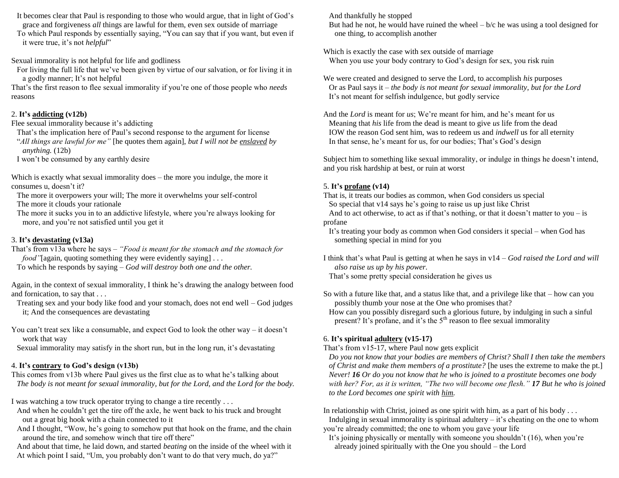It becomes clear that Paul is responding to those who would argue, that in light of God's grace and forgiveness *all* things are lawful for them, even sex outside of marriage

To which Paul responds by essentially saying, "You can say that if you want, but even if it were true, it's not *helpful*"

Sexual immorality is not helpful for life and godliness

For living the full life that we've been given by virtue of our salvation, or for living it in a godly manner; It's not helpful

That's the first reason to flee sexual immorality if you're one of those people who *needs* reasons

## 2. **It's addicting (v12b)**

## Flee sexual immorality because it's addicting

- That's the implication here of Paul's second response to the argument for license "*All things are lawful for me"* [he quotes them again], *but I will not be enslaved by anything.* (12b)
- I won't be consumed by any earthly desire

Which is exactly what sexual immorality does – the more you indulge, the more it consumes u, doesn't it?

The more it overpowers your will; The more it overwhelms your self-control The more it clouds your rationale

The more it sucks you in to an addictive lifestyle, where you're always looking for more, and you're not satisfied until you get it

## 3. **It's devastating (v13a)**

That's from v13a where he says – *"Food is meant for the stomach and the stomach for food"*[again, quoting something they were evidently saying] *. . .*

To which he responds by saying – *God will destroy both one and the other.*

Again, in the context of sexual immorality, I think he's drawing the analogy between food and fornication, to say that . . .

- Treating sex and your body like food and your stomach, does not end well God judges it; And the consequences are devastating
- You can't treat sex like a consumable, and expect God to look the other way it doesn't work that way

Sexual immorality may satisfy in the short run, but in the long run, it's devastating

## 4. **It's contrary to God's design (v13b)**

This comes from v13b where Paul gives us the first clue as to what he's talking about *The body is not meant for sexual immorality, but for the Lord, and the Lord for the body.*

I was watching a tow truck operator trying to change a tire recently . . .

- And when he couldn't get the tire off the axle, he went back to his truck and brought out a great big hook with a chain connected to it
- And I thought, "Wow, he's going to somehow put that hook on the frame, and the chain around the tire, and somehow winch that tire off there"

And about that time, he laid down, and started *beating* on the inside of the wheel with it At which point I said, "Um, you probably don't want to do that very much, do ya?"

And thankfully he stopped

But had he not, he would have ruined the wheel  $-b/c$  he was using a tool designed for one thing, to accomplish another

Which is exactly the case with sex outside of marriage When you use your body contrary to God's design for sex, you risk ruin

We were created and designed to serve the Lord, to accomplish *his* purposes Or as Paul says it – *the body is not meant for sexual immorality, but for the Lord* It's not meant for selfish indulgence, but godly service

And the *Lord* is meant for *us*; We're meant for him, and he's meant for us Meaning that *his* life from the dead is meant to give *us* life from the dead IOW the reason God sent him, was to redeem us and *indwell* us for all eternity In that sense, he's meant for us, for our bodies; That's God's design

Subject him to something like sexual immorality, or indulge in things he doesn't intend, and you risk hardship at best, or ruin at worst

## 5. **It's profane (v14)**

That is, it treats our bodies as common, when God considers us special So special that v14 says he's going to raise us up just like Christ

And to act otherwise, to act as if that's nothing, or that it doesn't matter to you – is profane

It's treating your body as common when God considers it special – when God has something special in mind for you

I think that's what Paul is getting at when he says in v14 – *God raised the Lord and will also raise us up by his power.*

That's some pretty special consideration he gives us

So with a future like that, and a status like that, and a privilege like that – how can you possibly thumb your nose at the One who promises that?

How can you possibly disregard such a glorious future, by indulging in such a sinful present? It's profane, and it's the  $5<sup>th</sup>$  reason to flee sexual immorality

# 6. **It's spiritual adultery (v15-17)**

That's from v15-17, where Paul now gets explicit

*Do you not know that your bodies are members of Christ? Shall I then take the members of Christ and make them members of a prostitute?* [he uses the extreme to make the pt.] *Never! 16 Or do you not know that he who is joined to a prostitute becomes one body with her? For, as it is written, "The two will become one flesh." 17 But he who is joined to the Lord becomes one spirit with him.*

In relationship with Christ, joined as one spirit with him, as a part of his body  $\dots$ 

Indulging in sexual immorality is spiritual adultery – it's cheating on the one to whom you're already committed; the one to whom you gave your life

It's joining physically or mentally with someone you shouldn't (16), when you're already joined spiritually with the One you should – the Lord